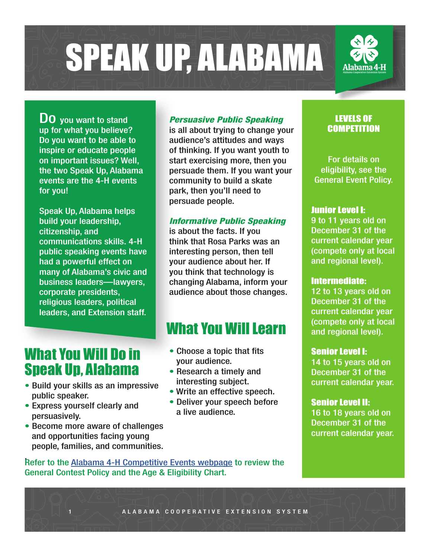SPEAK UP, ALABAMA

**DO** you want to stand up for what you believe? Do you want to be able to inspire or educate people on important issues? Well, the two Speak Up, Alabama events are the 4-H events for you!

Speak Up, Alabama helps build your leadership, citizenship, and communications skills. 4-H public speaking events have had a powerful effect on many of Alabama's civic and business leaders—lawyers, corporate presidents, religious leaders, political leaders, and Extension staff.

## What You Will Do in Speak Up, Alabama

- Build your skills as an impressive public speaker.
- Express yourself clearly and persuasively.
- Become more aware of challenges and opportunities facing young people, families, and communities.

#### *Persuasive Public Speaking*

is all about trying to change your audience's attitudes and ways of thinking. If you want youth to start exercising more, then you persuade them. If you want your community to build a skate park, then you'll need to persuade people.

#### *Informative Public Speaking*

is about the facts. If you think that Rosa Parks was an interesting person, then tell your audience about her. If you think that technology is changing Alabama, inform your audience about those changes.

## What You Will Learn

- Choose a topic that fits your audience.
- Research a timely and interesting subject.
- Write an effective speech.
- Deliver your speech before a live audience.

#### LEVELS OF **COMPETITION**

For details on eligibility, see the General Event Policy.

#### Junior Level I:

9 to 11 years old on December 31 of the current calendar year (compete only at local and regional level).

#### Intermediate:

12 to 13 years old on December 31 of the current calendar year (compete only at local and regional level).

#### Senior Level I:

14 to 15 years old on December 31 of the current calendar year.

#### Senior Level II:

16 to 18 years old on December 31 of the current calendar year.

. Refer to the [Alabama 4-H Competitive Events webpage](http://www.aces.edu/4-H-youth/AL4-H/resources/other/competitive/index.php?WT.ac=addThisGoogle) to review the General Contest Policy and the Age & Eligibility Chart.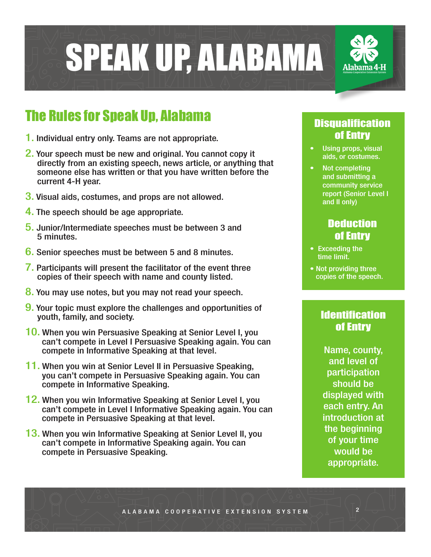

## The Rules for Speak Up, Alabama

- 1. Individual entry only. Teams are not appropriate.
- 2. Your speech must be new and original. You cannot copy it directly from an existing speech, news article, or anything that someone else has written or that you have written before the current 4-H year.
- 3. Visual aids, costumes, and props are not allowed.
- 4. The speech should be age appropriate.
- 5. Junior/Intermediate speeches must be between 3 and 5 minutes.
- 6. Senior speeches must be between 5 and 8 minutes.
- 7. Participants will present the facilitator of the event three copies of their speech with name and county listed.
- 8. You may use notes, but you may not read your speech.
- **9.** Your topic must explore the challenges and opportunities of youth, family, and society.
- 10. When you win Persuasive Speaking at Senior Level I, you can't compete in Level I Persuasive Speaking again. You can compete in Informative Speaking at that level.
- 11. When you win at Senior Level II in Persuasive Speaking, you can't compete in Persuasive Speaking again. You can compete in Informative Speaking.
- 12. When you win Informative Speaking at Senior Level I, you can't compete in Level I Informative Speaking again. You can compete in Persuasive Speaking at that level.
- 13. When you win Informative Speaking at Senior Level II, you can't compete in Informative Speaking again. You can compete in Persuasive Speaking.

#### **Disqualification** of Entry

- Using props, visual aids, or costumes.
- Not completing and submitting a community service report (Senior Level I and II only)

#### **Deduction** of Entry

- Exceeding the time limit.
- Not providing three copies of the speech.

#### **Identification** of Entry

Name, county, and level of participation should be displayed with each entry. An introduction at the beginning of your time would be appropriate.

2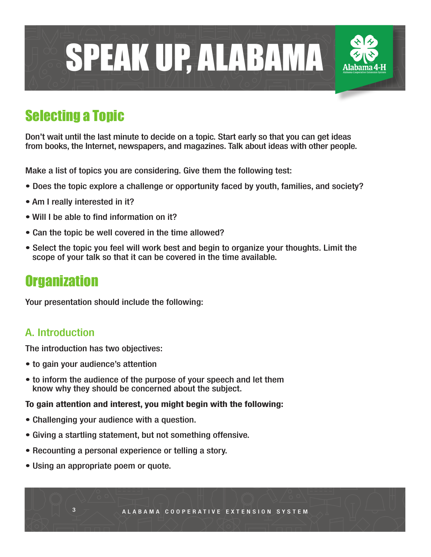

## Selecting a Topic

Don't wait until the last minute to decide on a topic. Start early so that you can get ideas from books, the Internet, newspapers, and magazines. Talk about ideas with other people.

Make a list of topics you are considering. Give them the following test:

- Does the topic explore a challenge or opportunity faced by youth, families, and society?
- Am I really interested in it?
- Will I be able to find information on it?
- Can the topic be well covered in the time allowed?
- Select the topic you feel will work best and begin to organize your thoughts. Limit the scope of your talk so that it can be covered in the time available.

### **Organization**

Your presentation should include the following:

#### A. Introduction

The introduction has two objectives:

- to gain your audience's attention
- to inform the audience of the purpose of your speech and let them know why they should be concerned about the subject.

#### To gain attention and interest, you might begin with the following:

- Challenging your audience with a question.
- Giving a startling statement, but not something offensive.
- Recounting a personal experience or telling a story.
- Using an appropriate poem or quote.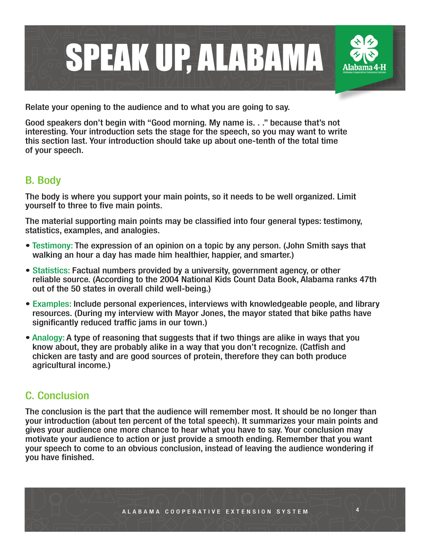

Relate your opening to the audience and to what you are going to say.

Good speakers don't begin with "Good morning. My name is. . ." because that's not interesting. Your introduction sets the stage for the speech, so you may want to write this section last. Your introduction should take up about one-tenth of the total time of your speech.

#### B. Body

The body is where you support your main points, so it needs to be well organized. Limit yourself to three to five main points.

The material supporting main points may be classified into four general types: testimony, statistics, examples, and analogies.

- Testimony: The expression of an opinion on a topic by any person. (John Smith says that walking an hour a day has made him healthier, happier, and smarter.)
- Statistics: Factual numbers provided by a university, government agency, or other reliable source. (According to the 2004 National Kids Count Data Book, Alabama ranks 47th out of the 50 states in overall child well-being.)
- Examples: Include personal experiences, interviews with knowledgeable people, and library resources. (During my interview with Mayor Jones, the mayor stated that bike paths have significantly reduced traffic jams in our town.)
- Analogy: A type of reasoning that suggests that if two things are alike in ways that you know about, they are probably alike in a way that you don't recognize. (Catfish and chicken are tasty and are good sources of protein, therefore they can both produce agricultural income.)

#### C. Conclusion

The conclusion is the part that the audience will remember most. It should be no longer than your introduction (about ten percent of the total speech). It summarizes your main points and gives your audience one more chance to hear what you have to say. Your conclusion may motivate your audience to action or just provide a smooth ending. Remember that you want your speech to come to an obvious conclusion, instead of leaving the audience wondering if you have finished.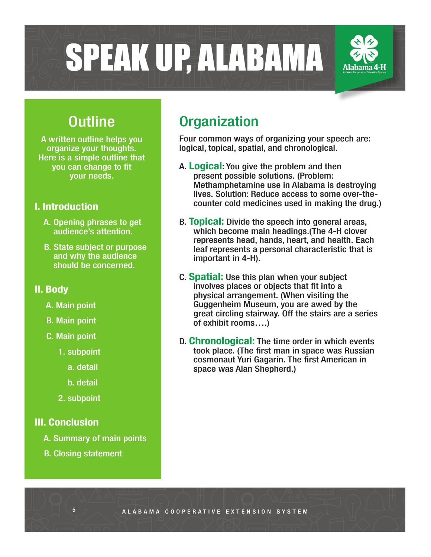SPEAK UP, ALABAMA

## **Outline**

A written outline helps you organize your thoughts. Here is a simple outline that you can change to fit your needs.

#### I. Introduction

- A. Opening phrases to get audience's attention.
- B. State subject or purpose and why the audience should be concerned.

#### II. Body

- A. Main point
- B. Main point
- C. Main point
	- 1. subpoint
		- a. detail
		- b. detail
	- 2. subpoint

#### III. Conclusion

- A. Summary of main points
- B. Closing statement

## **Organization**

Four common ways of organizing your speech are: logical, topical, spatial, and chronological.

- A. Logical: You give the problem and then present possible solutions. (Problem: Methamphetamine use in Alabama is destroying lives. Solution: Reduce access to some over-the counter cold medicines used in making the drug.)
- B. **Topical:** Divide the speech into general areas, which become main headings.(The 4-H clover represents head, hands, heart, and health. Each leaf represents a personal characteristic that is important in 4-H).
- C. Spatial: Use this plan when your subject involves places or objects that fit into a physical arrangement. (When visiting the Guggenheim Museum, you are awed by the great circling stairway. Off the stairs are a series of exhibit rooms….)
- D. Chronological: The time order in which events took place. (The first man in space was Russian cosmonaut Yuri Gagarin. The first American in space was Alan Shepherd.)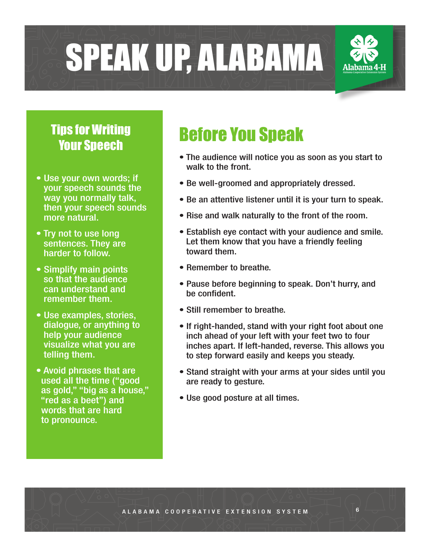SPEAK UP, ALABAMA

# Tips for Writing

- Use your own words; if your speech sounds the way you normally talk, then your speech sounds more natural.
- Try not to use long sentences. They are harder to follow.
- Simplify main points so that the audience can understand and remember them.
- Use examples, stories, dialogue, or anything to help your audience visualize what you are telling them.
- Avoid phrases that are used all the time ("good as gold," "big as a house," "red as a beet") and words that are hard to pronounce.

# **The Townships for Writing Refore You Speak**<br>Your Speech

- The audience will notice you as soon as you start to walk to the front.
- Be well-groomed and appropriately dressed.
- Be an attentive listener until it is your turn to speak.
- Rise and walk naturally to the front of the room.
- Establish eye contact with your audience and smile. Let them know that you have a friendly feeling toward them.
- Remember to breathe.
- Pause before beginning to speak. Don't hurry, and be confident.
- Still remember to breathe.
- If right-handed, stand with your right foot about one inch ahead of your left with your feet two to four inches apart. If left-handed, reverse. This allows you to step forward easily and keeps you steady.
- Stand straight with your arms at your sides until you are ready to gesture.
- Use good posture at all times.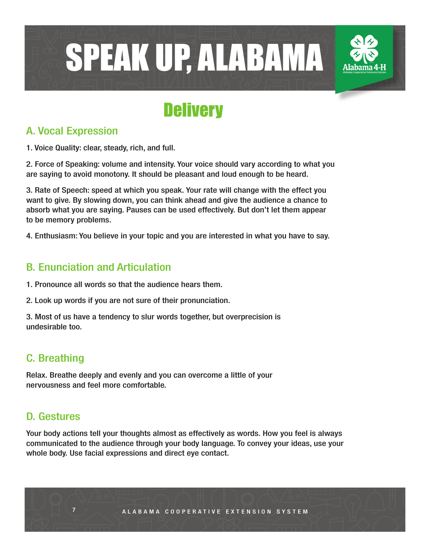

## **Delivery**

#### A. Vocal Expression

1. Voice Quality: clear, steady, rich, and full.

2. Force of Speaking: volume and intensity. Your voice should vary according to what you are saying to avoid monotony. It should be pleasant and loud enough to be heard.

3. Rate of Speech: speed at which you speak. Your rate will change with the effect you want to give. By slowing down, you can think ahead and give the audience a chance to absorb what you are saying. Pauses can be used effectively. But don't let them appear to be memory problems.

4. Enthusiasm: You believe in your topic and you are interested in what you have to say.

#### B. Enunciation and Articulation

1. Pronounce all words so that the audience hears them.

2. Look up words if you are not sure of their pronunciation.

3. Most of us have a tendency to slur words together, but overprecision is undesirable too.

#### C. Breathing

Relax. Breathe deeply and evenly and you can overcome a little of your nervousness and feel more comfortable.

#### D. Gestures

Your body actions tell your thoughts almost as effectively as words. How you feel is always communicated to the audience through your body language. To convey your ideas, use your whole body. Use facial expressions and direct eye contact.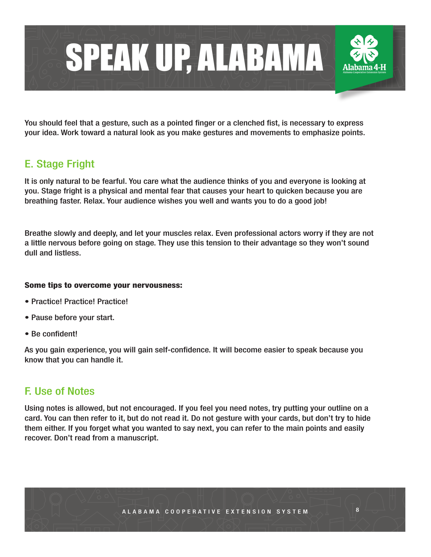

You should feel that a gesture, such as a pointed finger or a clenched fist, is necessary to express your idea. Work toward a natural look as you make gestures and movements to emphasize points.

#### E. Stage Fright

It is only natural to be fearful. You care what the audience thinks of you and everyone is looking at you. Stage fright is a physical and mental fear that causes your heart to quicken because you are breathing faster. Relax. Your audience wishes you well and wants you to do a good job!

Breathe slowly and deeply, and let your muscles relax. Even professional actors worry if they are not a little nervous before going on stage. They use this tension to their advantage so they won't sound dull and listless.

#### Some tips to overcome your nervousness:

- Practice! Practice! Practice!
- Pause before your start.
- Be confident!

As you gain experience, you will gain self-confidence. It will become easier to speak because you know that you can handle it.

#### F. Use of Notes

Using notes is allowed, but not encouraged. If you feel you need notes, try putting your outline on a card. You can then refer to it, but do not read it. Do not gesture with your cards, but don't try to hide them either. If you forget what you wanted to say next, you can refer to the main points and easily recover. Don't read from a manuscript.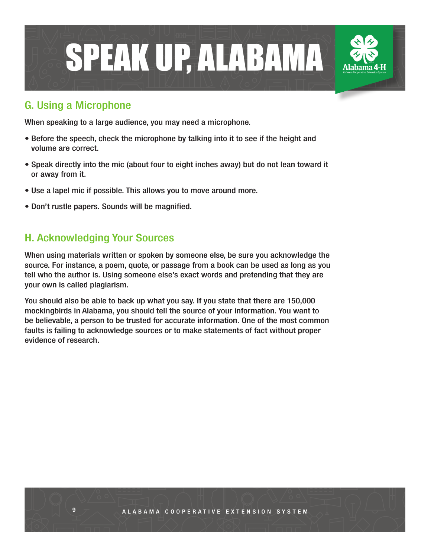

#### G. Using a Microphone

When speaking to a large audience, you may need a microphone.

- Before the speech, check the microphone by talking into it to see if the height and volume are correct.
- Speak directly into the mic (about four to eight inches away) but do not lean toward it or away from it.
- Use a lapel mic if possible. This allows you to move around more.
- Don't rustle papers. Sounds will be magnified.

#### H. Acknowledging Your Sources

When using materials written or spoken by someone else, be sure you acknowledge the source. For instance, a poem, quote, or passage from a book can be used as long as you tell who the author is. Using someone else's exact words and pretending that they are your own is called plagiarism.

You should also be able to back up what you say. If you state that there are 150,000 mockingbirds in Alabama, you should tell the source of your information. You want to be believable, a person to be trusted for accurate information. One of the most common faults is failing to acknowledge sources or to make statements of fact without proper evidence of research.